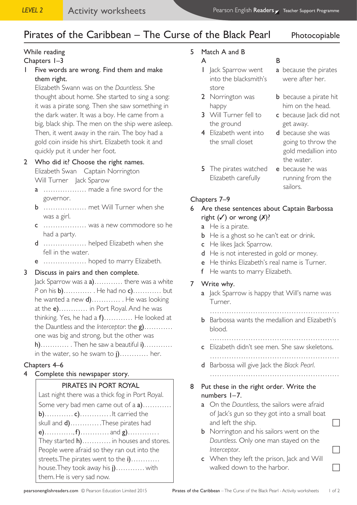# Pirates of the Caribbean – The Curse of the Black Pearl Photocopiable

# While reading

#### Chapters 1–3

1 Five words are wrong. Find them and make them right.

Elizabeth Swann was on the *Dauntless*. She thought about home. She started to sing a song: it was a pirate song. Then she saw something in the dark water. It was a boy. He came from a big, black ship. The men on the ship were asleep. Then, it went away in the rain. The boy had a gold coin inside his shirt. Elizabeth took it and quickly put it under her foot.

#### 2 Who did it? Choose the right names.

Elizabeth Swan Captain Norrington Will Turner | ack Sparow

- a ……………… made a fine sword for the governor.
- b ……………… met Will Turner when she was a girl.
- c ……………… was a new commodore so he had a party.
- d ……………… helped Elizabeth when she fell in the water.
- e ……………… hoped to marry Elizabeth.
- 3 Discuss in pairs and then complete.

Jack Sparrow was a a)………… there was a white *P* on his b)………… . He had no c)………… but he wanted a new **d**)………… . He was looking at the e)………… in Port Royal. And he was thinking. Yes, he had a f)………… He looked at the Dauntless and the *Interceptor*: the g)………… one was big and strong, but the other was  $h)$ ………… . Then he saw a beautiful  $i)$ ………… in the water, so he swam to j)………… her.

#### Chapters 4–6

4 Complete this newspaper story.

#### PIRATES IN PORT ROYAL

Last night there was a thick fog in Port Royal. Some very bad men came out of a a)………… b)………… c)………… . It carried the skull and **d)**………… . These pirates had e)…………,  $f$ )………… and  $g$ )………… They started **h**)………… in houses and stores. People were afraid so they ran out into the streets. The pirates went to the i)………… house. They took away his j)………… with them. He is very sad now.

# 5 Match A and B

#### A B

- I Jack Sparrow went **a** because the pirates into the blacksmith's were after her. store
- 
- 3 Will Turner fell to c because Jack did not the ground example get away.
- 4 Elizabeth went into d because she was
- 5 The pirates watched e because he was Elizabeth carefully running from the

- 
- **2** Norrington was **b** because a pirate hit happy him on the head.
	-
	- the small closet going to throw the gold medallion into the water.
		- sailors.

#### Chapters 7–9

#### 6 Are these sentences about Captain Barbossa right  $(\checkmark)$  or wrong  $(\checkmark)$ ?

- a He is a pirate.
- **b** He is a ghost so he can't eat or drink.
- c He likes Jack Sparrow.
- d He is not interested in gold or money.
- e He thinks Elizabeth's real name is Turner.
- f He wants to marry Elizabeth.

#### 7 Write why.

a Jack Sparrow is happy that Will's name was Turner.

………………………………………………

b Barbossa wants the medallion and Elizabeth's blood.

………………………………………………

- c Elizabeth didn't see men. She saw skeletons.
- ……………………………………………… d Barbossa will give Jack the *Black Pearl*.
- ………………………………………………
- 8 Put these in the right order. Write the numbers 1–7.
	- a On the *Dauntless*, the sailors were afraid of Jack's gun so they got into a small boat and left the ship.
	- **b** Norrington and his sailors went on the *Dauntless*. Only one man stayed on the *Interceptor.*
	- c When they left the prison, Jack and Will walked down to the harbor.  $\Box$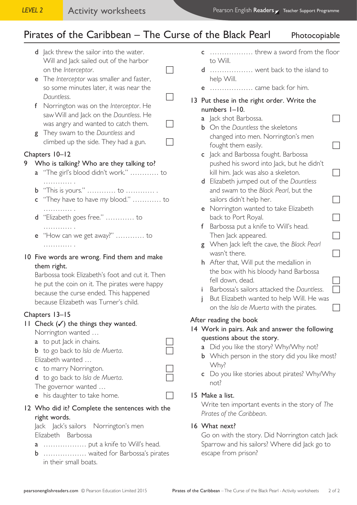# Pirates of the Caribbean – The Curse of the Black Pearl Photocopiable

- d Jack threw the sailor into the water. Will and Jack sailed out of the harbor on the *Interceptor*. e The *Interceptor* was smaller and faster,
	- so some minutes later, it was near the *Dauntless.*
- f Norrington was on the *Interceptor*. He saw Will and Jack on the *Dauntless*. He was angry and wanted to catch them.  $\Box$
- g They swam to the *Dauntless* and climbed up the side. They had a gun.

# Chapters 10–12

### 9 Who is talking? Who are they talking to?

- a "The girl's blood didn't work." ………… to ……………
- b "This is yours." ………… to ………… .
- c "They have to have *my* blood." ………… to ……………
- d "Elizabeth goes free." ………… to ……………
- e "How can we get away?" ………… to ………… .
- 10 Five words are wrong. Find them and make them right.

Barbossa took Elizabeth's foot and cut it. Then he put the coin on it. The pirates were happy because the curse ended. This happened because Elizabeth was Turner's child.

# Chapters 13–15

#### 11 Check  $(\checkmark)$  the things they wanted.

Norrington wanted …

- $a$  to put Jack in chains.
- **b** to go back to *Isla* de Muerta. Elizabeth wanted … c to marry Norrington.
- d to go back to *Isla* de Muerta.
- The governor wanted …
- e his daughter to take home.

### 12 Who did it? Complete the sentences with the right words.

Jack Jack's sailors Norrington's men Elizabeth Barbossa

- a ……………… put a knife to Will's head.
- b ……………… waited for Barbossa's pirates in their small boats.
- c ……………… threw a sword from the floor to Will.
- d ……………… went back to the island to help Will.
- e ……………… came back for him.
- 13 Put these in the right order. Write the numbers 1–10.
	- a Jack shot Barbossa.
	- b On the *Dauntless* the skeletons changed into men. Norrington's men fought them easily.
	- c Jack and Barbossa fought. Barbossa pushed his sword into Jack, but he didn't kill him. Jack was also a skeleton.  $\Box$
	- d Elizabeth jumped out of the *Dauntless* and swam to the *Black Pearl*, but the sailors didn't help her.
	- e Norrington wanted to take Elizabeth back to Port Royal.
	- f Barbossa put a knife to Will's head. Then Jack appeared.
	- g When Jack left the cave, the *Black Pearl* wasn't there.
	- h After that, Will put the medallion in the box with his bloody hand Barbossa fell down, dead.
	- i Barbossa's sailors attacked the *Dauntless*.
	- j But Elizabeth wanted to help Will. He was on the *Isla de Muerta* with the pirates.

# After reading the book

- 14 Work in pairs. Ask and answer the following questions about the story.
	- a Did you like the story? Why/Why not?
	- **b** Which person in the story did you like most? Why?
	- c Do you like stories about pirates? Why/Why not?

#### 15 Make a list.

Write ten important events in the story of *The Pirates of the Caribbean*.

# 16 What next?

Go on with the story. Did Norrington catch Jack Sparrow and his sailors? Where did Jack go to escape from prison?